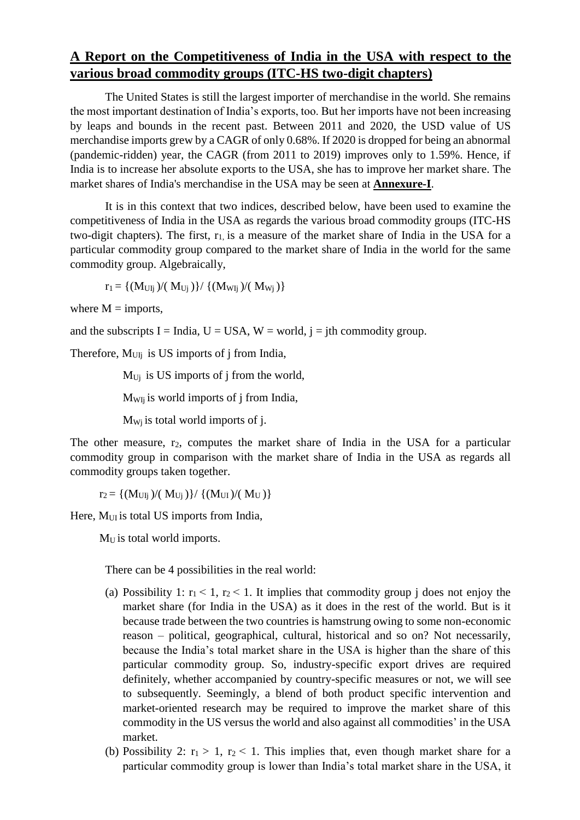## **A Report on the Competitiveness of India in the USA with respect to the various broad commodity groups (ITC-HS two-digit chapters)**

The United States is still the largest importer of merchandise in the world. She remains the most important destination of India's exports, too. But her imports have not been increasing by leaps and bounds in the recent past. Between 2011 and 2020, the USD value of US merchandise imports grew by a CAGR of only 0.68%. If 2020 is dropped for being an abnormal (pandemic-ridden) year, the CAGR (from 2011 to 2019) improves only to 1.59%. Hence, if India is to increase her absolute exports to the USA, she has to improve her market share. The market shares of India's merchandise in the USA may be seen at **Annexure-I**.

It is in this context that two indices, described below, have been used to examine the competitiveness of India in the USA as regards the various broad commodity groups (ITC-HS two-digit chapters). The first,  $r_1$  is a measure of the market share of India in the USA for a particular commodity group compared to the market share of India in the world for the same commodity group. Algebraically,

 $r_1 = \{ (M_{UIi})/(M_{Ui}) \} / \{ (M_{Wi})/(M_{Wi}) \}$ 

where  $M =$  imports,

and the subscripts I = India, U = USA, W = world,  $i =$  jth commodity group.

Therefore,  $M<sub>UIi</sub>$  is US imports of j from India,

 $M_{U_i}$  is US imports of j from the world,

MWIj is world imports of j from India,

 $M_{Wi}$  is total world imports of j.

The other measure, r<sub>2</sub>, computes the market share of India in the USA for a particular commodity group in comparison with the market share of India in the USA as regards all commodity groups taken together.

 $r_2 = \{(M_{UIi})/(M_{Ui})\}/\{(M_{UI})/(M_U)\}$ 

Here, M<sub>UI</sub> is total US imports from India,

M<sub>U</sub> is total world imports.

There can be 4 possibilities in the real world:

- (a) Possibility 1:  $r_1 < 1$ ,  $r_2 < 1$ . It implies that commodity group j does not enjoy the market share (for India in the USA) as it does in the rest of the world. But is it because trade between the two countries is hamstrung owing to some non-economic reason – political, geographical, cultural, historical and so on? Not necessarily, because the India's total market share in the USA is higher than the share of this particular commodity group. So, industry-specific export drives are required definitely, whether accompanied by country-specific measures or not, we will see to subsequently. Seemingly, a blend of both product specific intervention and market-oriented research may be required to improve the market share of this commodity in the US versus the world and also against all commodities' in the USA market.
- (b) Possibility 2:  $r_1 > 1$ ,  $r_2 < 1$ . This implies that, even though market share for a particular commodity group is lower than India's total market share in the USA, it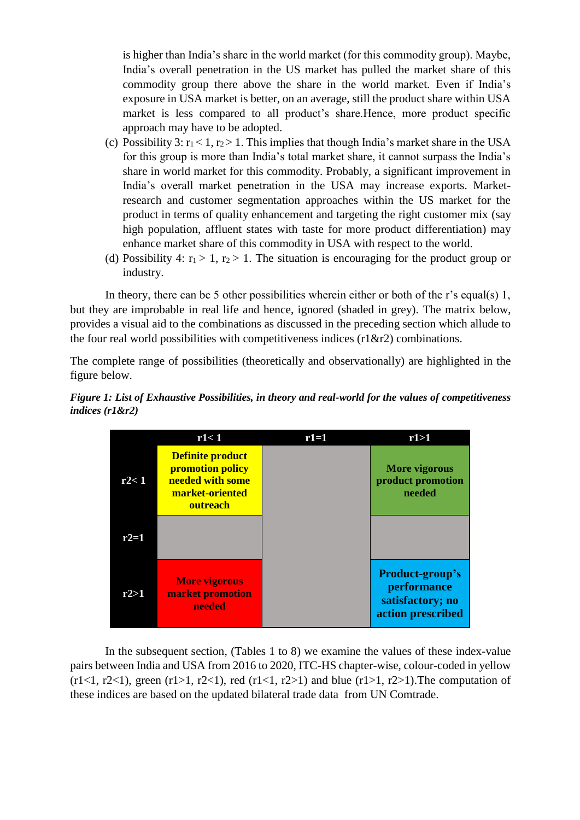is higher than India's share in the world market (for this commodity group). Maybe, India's overall penetration in the US market has pulled the market share of this commodity group there above the share in the world market. Even if India's exposure in USA market is better, on an average, still the product share within USA market is less compared to all product's share.Hence, more product specific approach may have to be adopted.

- (c) Possibility 3:  $r_1 < 1$ ,  $r_2 > 1$ . This implies that though India's market share in the USA for this group is more than India's total market share, it cannot surpass the India's share in world market for this commodity. Probably, a significant improvement in India's overall market penetration in the USA may increase exports. Marketresearch and customer segmentation approaches within the US market for the product in terms of quality enhancement and targeting the right customer mix (say high population, affluent states with taste for more product differentiation) may enhance market share of this commodity in USA with respect to the world.
- (d) Possibility 4:  $r_1 > 1$ ,  $r_2 > 1$ . The situation is encouraging for the product group or industry.

In theory, there can be 5 other possibilities wherein either or both of the r's equal(s) 1, but they are improbable in real life and hence, ignored (shaded in grey). The matrix below, provides a visual aid to the combinations as discussed in the preceding section which allude to the four real world possibilities with competitiveness indices  $(r1&\&r2)$  combinations.

The complete range of possibilities (theoretically and observationally) are highlighted in the figure below.





In the subsequent section, (Tables 1 to 8) we examine the values of these index-value pairs between India and USA from 2016 to 2020, ITC-HS chapter-wise, colour-coded in yellow  $(r1<1, r2<1)$ , green  $(r1>1, r2<1)$ , red  $(r1<1, r2>1)$  and blue  $(r1>1, r2>1)$ . The computation of these indices are based on the updated bilateral trade data from UN Comtrade.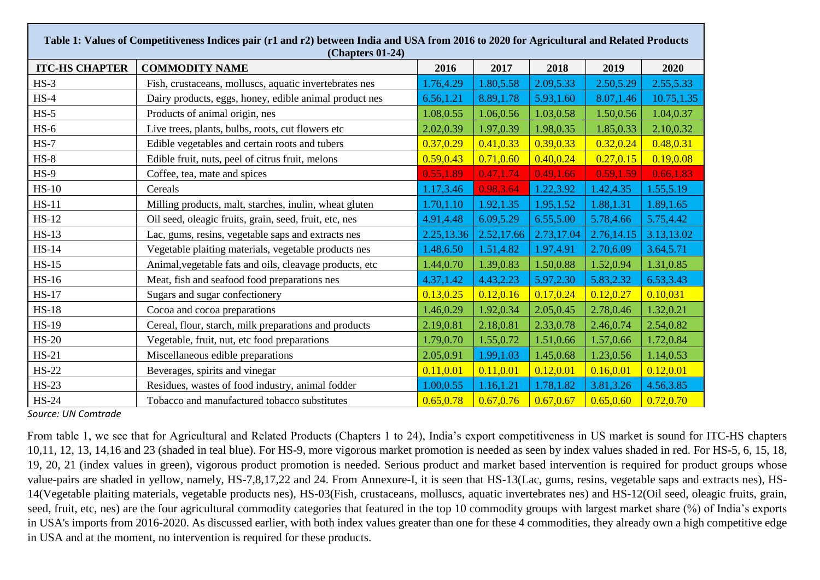| Table 1: Values of Competitiveness Indices pair (r1 and r2) between India and USA from 2016 to 2020 for Agricultural and Related Products<br>(Chapters 01-24) |                                                         |            |            |            |            |            |  |  |  |
|---------------------------------------------------------------------------------------------------------------------------------------------------------------|---------------------------------------------------------|------------|------------|------------|------------|------------|--|--|--|
| <b>ITC-HS CHAPTER</b>                                                                                                                                         | <b>COMMODITY NAME</b>                                   | 2016       | 2017       | 2018       | 2019       | 2020       |  |  |  |
| $HS-3$                                                                                                                                                        | Fish, crustaceans, molluscs, aquatic invertebrates nes  | 1.76,4.29  | 1.80,5.58  | 2.09,5.33  | 2.50,5.29  | 2.55,5.33  |  |  |  |
| $HS-4$                                                                                                                                                        | Dairy products, eggs, honey, edible animal product nes  | 6.56,1.21  | 8.89,1.78  | 5.93,1.60  | 8.07,1.46  | 10.75,1.35 |  |  |  |
| $HS-5$                                                                                                                                                        | Products of animal origin, nes                          | 1.08,0.55  | 1.06,0.56  | 1.03,0.58  | 1.50,0.56  | 1.04,0.37  |  |  |  |
| $HS-6$                                                                                                                                                        | Live trees, plants, bulbs, roots, cut flowers etc       | 2.02,0.39  | 1.97,0.39  | 1.98,0.35  | 1.85,0.33  | 2.10,0.32  |  |  |  |
| $HS-7$                                                                                                                                                        | Edible vegetables and certain roots and tubers          | 0.37, 0.29 | 0.41, 0.33 | 0.39,0.33  | 0.32, 0.24 | 0.48, 0.31 |  |  |  |
| $HS-8$                                                                                                                                                        | Edible fruit, nuts, peel of citrus fruit, melons        | 0.59, 0.43 | 0.71, 0.60 | 0.40, 0.24 | 0.27, 0.15 | 0.19,0.08  |  |  |  |
| $HS-9$                                                                                                                                                        | Coffee, tea, mate and spices                            | 0.55,1.89  | 0.47, 1.74 | 0.49, 1.66 | 0.59, 1.59 | 0.66, 1.83 |  |  |  |
| $HS-10$                                                                                                                                                       | Cereals                                                 | 1.17,3.46  | 0.98,3.64  | 1.22,3.92  | 1.42,4.35  | 1.55,5.19  |  |  |  |
| $HS-11$                                                                                                                                                       | Milling products, malt, starches, inulin, wheat gluten  | 1.70,1.10  | 1.92, 1.35 | 1.95, 1.52 | 1.88,1.31  | 1.89, 1.65 |  |  |  |
| $HS-12$                                                                                                                                                       | Oil seed, oleagic fruits, grain, seed, fruit, etc, nes  | 4.91,4.48  | 6.09,5.29  | 6.55,5.00  | 5.78,4.66  | 5.75, 4.42 |  |  |  |
| $HS-13$                                                                                                                                                       | Lac, gums, resins, vegetable saps and extracts nes      | 2.25,13.36 | 2.52,17.66 | 2.73,17.04 | 2.76,14.15 | 3.13,13.02 |  |  |  |
| $HS-14$                                                                                                                                                       | Vegetable plaiting materials, vegetable products nes    | 1.48,6.50  | 1.51,4.82  | 1.97,4.91  | 2.70,6.09  | 3.64,5.71  |  |  |  |
| $HS-15$                                                                                                                                                       | Animal, vegetable fats and oils, cleavage products, etc | 1.44,0.70  | 1.39,0.83  | 1.50,0.88  | 1.52,0.94  | 1.31,0.85  |  |  |  |
| <b>HS-16</b>                                                                                                                                                  | Meat, fish and seafood food preparations nes            | 4.37,1.42  | 4.43,2.23  | 5.97,2.30  | 5.83, 2.32 | 6.53,3.43  |  |  |  |
| <b>HS-17</b>                                                                                                                                                  | Sugars and sugar confectionery                          | 0.13, 0.25 | 0.12, 0.16 | 0.17, 0.24 | 0.12, 0.27 | 0.10,031   |  |  |  |
| $HS-18$                                                                                                                                                       | Cocoa and cocoa preparations                            | 1.46,0.29  | 1.92,0.34  | 2.05,0.45  | 2.78,0.46  | 1.32,0.21  |  |  |  |
| HS-19                                                                                                                                                         | Cereal, flour, starch, milk preparations and products   | 2.19,0.81  | 2.18,0.81  | 2.33,0.78  | 2.46,0.74  | 2.54,0.82  |  |  |  |
| $HS-20$                                                                                                                                                       | Vegetable, fruit, nut, etc food preparations            | 1.79,0.70  | 1.55,0.72  | 1.51,0.66  | 1.57,0.66  | 1.72,0.84  |  |  |  |
| $HS-21$                                                                                                                                                       | Miscellaneous edible preparations                       | 2.05,0.91  | 1.99,1.03  | 1.45,0.68  | 1.23,0.56  | 1.14,0.53  |  |  |  |
| $HS-22$                                                                                                                                                       | Beverages, spirits and vinegar                          | 0.11, 0.01 | 0.11, 0.01 | 0.12, 0.01 | 0.16, 0.01 | 0.12, 0.01 |  |  |  |
| $HS-23$                                                                                                                                                       | Residues, wastes of food industry, animal fodder        | 1.00,0.55  | 1.16,1.21  | 1.78,1.82  | 3.81,3.26  | 4.56,3.85  |  |  |  |
| <b>HS-24</b>                                                                                                                                                  | Tobacco and manufactured tobacco substitutes            | 0.65, 0.78 | 0.67, 0.76 | 0.67, 0.67 | 0.65, 0.60 | 0.72, 0.70 |  |  |  |

 From table 1, we see that for Agricultural and Related Products (Chapters 1 to 24), India's export competitiveness in US market is sound for ITC-HS chapters 10,11, 12, 13, 14,16 and 23 (shaded in teal blue). For HS-9, more vigorous market promotion is needed as seen by index values shaded in red. For HS-5, 6, 15, 18, 19, 20, 21 (index values in green), vigorous product promotion is needed. Serious product and market based intervention is required for product groups whose value-pairs are shaded in yellow, namely, HS-7,8,17,22 and 24. From Annexure-I, it is seen that HS-13(Lac, gums, resins, vegetable saps and extracts nes), HS-14(Vegetable plaiting materials, vegetable products nes), HS-03(Fish, crustaceans, molluscs, aquatic invertebrates nes) and HS-12(Oil seed, oleagic fruits, grain, seed, fruit, etc, nes) are the four agricultural commodity categories that featured in the top 10 commodity groups with largest market share (%) of India's exports in USA's imports from 2016-2020. As discussed earlier, with both index values greater than one for these 4 commodities, they already own a high competitive edge in USA and at the moment, no intervention is required for these products.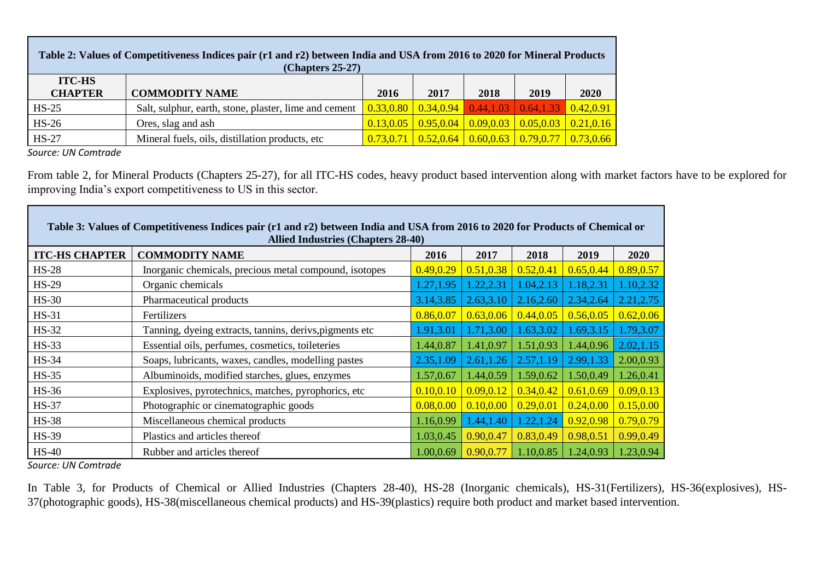| Table 2: Values of Competitiveness Indices pair (r1 and r2) between India and USA from 2016 to 2020 for Mineral Products<br>$(Chapters 25-27)$ |                                                       |           |            |      |                                                                  |            |  |
|------------------------------------------------------------------------------------------------------------------------------------------------|-------------------------------------------------------|-----------|------------|------|------------------------------------------------------------------|------------|--|
| <b>ITC-HS</b><br><b>CHAPTER</b>                                                                                                                | <b>COMMODITY NAME</b>                                 | 2016      | 2017       | 2018 | 2019                                                             | 2020       |  |
| $HS-25$                                                                                                                                        | Salt, sulphur, earth, stone, plaster, lime and cement | 0.33,0.80 | 0.34, 0.94 |      | $0.44, 1.03 \mid 0.64, 1.33 \mid$                                | 0.42, 0.91 |  |
| $HS-26$                                                                                                                                        | Ores, slag and ash                                    | 0.13.0.05 | 0.95, 0.04 |      | $0.09, 0.03$   $0.05, 0.03$   $0.21, 0.16$                       |            |  |
| $HS-27$                                                                                                                                        | Mineral fuels, oils, distillation products, etc.      | 0.73.0.71 | 0.52.0.64  |      | $\left  0.60, 0.63 \right  0.79, 0.77 \left  0.73, 0.66 \right $ |            |  |

From table 2, for Mineral Products (Chapters 25-27), for all ITC-HS codes, heavy product based intervention along with market factors have to be explored for improving India's export competitiveness to US in this sector.

| Table 3: Values of Competitiveness Indices pair (r1 and r2) between India and USA from 2016 to 2020 for Products of Chemical or<br><b>Allied Industries (Chapters 28-40)</b> |                                                         |            |            |            |            |            |  |  |
|------------------------------------------------------------------------------------------------------------------------------------------------------------------------------|---------------------------------------------------------|------------|------------|------------|------------|------------|--|--|
| <b>ITC-HS CHAPTER</b>                                                                                                                                                        | <b>COMMODITY NAME</b>                                   | 2016       | 2017       | 2018       | 2019       | 2020       |  |  |
| $HS-28$                                                                                                                                                                      | Inorganic chemicals, precious metal compound, isotopes  | 0.49, 0.29 | 0.51, 0.38 | 0.52, 0.41 | 0.65, 0.44 | 0.89,0.57  |  |  |
| $HS-29$                                                                                                                                                                      | Organic chemicals                                       | 1.27,1.95  | 1.22,2.31  | 1.04,2.13  | 1.18,2.31  | 1.10,2.32  |  |  |
| $HS-30$                                                                                                                                                                      | Pharmaceutical products                                 | 3.14,3.85  | 2.63,3.10  | 2.16,2.60  | 2.34,2.64  | 2.21, 2.75 |  |  |
| $HS-31$                                                                                                                                                                      | Fertilizers                                             | 0.86, 0.07 | 0.63, 0.06 | 0.44, 0.05 | 0.56, 0.05 | 0.62, 0.06 |  |  |
| $HS-32$                                                                                                                                                                      | Tanning, dyeing extracts, tannins, derivs, pigments etc | 1.91,3.01  | 1.71,3.00  | 1.63,3.02  | 1.69,3.15  | 1.79,3.07  |  |  |
| $HS-33$                                                                                                                                                                      | Essential oils, perfumes, cosmetics, toileteries        | 1.44,0.87  | 1.41,0.97  | 1.51,0.93  | 1.44,0.96  | 2.02, 1.15 |  |  |
| $HS-34$                                                                                                                                                                      | Soaps, lubricants, waxes, candles, modelling pastes     | 2.35, 1.09 | 2.61,1.26  | 2.57,1.19  | 2.99,1.33  | 2.00,0.93  |  |  |
| $HS-35$                                                                                                                                                                      | Albuminoids, modified starches, glues, enzymes          | 1.57,0.67  | 1.44,0.59  | 1.59,0.62  | 1.50,0.49  | 1.26,0.41  |  |  |
| $HS-36$                                                                                                                                                                      | Explosives, pyrotechnics, matches, pyrophorics, etc.    | 0.10, 0.10 | 0.09, 0.12 | 0.34, 0.42 | 0.61, 0.69 | 0.09, 0.13 |  |  |
| <b>HS-37</b>                                                                                                                                                                 | Photographic or cinematographic goods                   | 0.08, 0.00 | 0.10, 0.00 | 0.29, 0.01 | 0.24, 0.00 | 0.15, 0.00 |  |  |
| <b>HS-38</b>                                                                                                                                                                 | Miscellaneous chemical products                         | 1.16,0.99  | 1.44,1.40  | 1.22, 1.24 | 0.92, 0.98 | 0.79,0.79  |  |  |
| <b>HS-39</b>                                                                                                                                                                 | Plastics and articles thereof                           | 1.03,0.45  | 0.90,0.47  | 0.83,0.49  | 0.98,0.51  | 0.99,0.49  |  |  |
| $HS-40$                                                                                                                                                                      | Rubber and articles thereof                             | 1.00,0.69  | 0.90,0.77  | 1.10,0.85  | 1.24,0.93  | 1.23,0.94  |  |  |

*Source: UN Comtrade*

In Table 3, for Products of Chemical or Allied Industries (Chapters 28-40), HS-28 (Inorganic chemicals), HS-31(Fertilizers), HS-36(explosives), HS-37(photographic goods), HS-38(miscellaneous chemical products) and HS-39(plastics) require both product and market based intervention.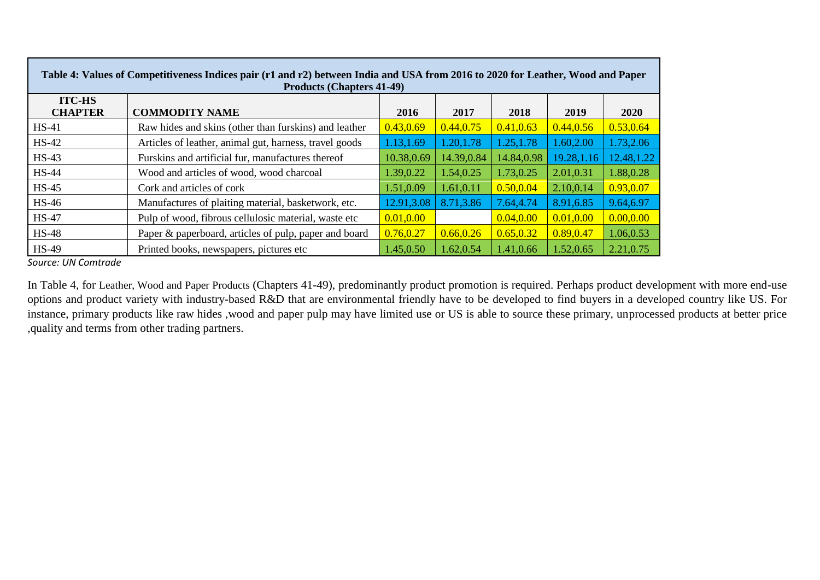| Table 4: Values of Competitiveness Indices pair (r1 and r2) between India and USA from 2016 to 2020 for Leather, Wood and Paper<br><b>Products (Chapters 41-49)</b> |                                                        |            |            |            |             |             |  |  |
|---------------------------------------------------------------------------------------------------------------------------------------------------------------------|--------------------------------------------------------|------------|------------|------------|-------------|-------------|--|--|
| <b>ITC-HS</b><br><b>CHAPTER</b>                                                                                                                                     | <b>COMMODITY NAME</b>                                  | 2016       | 2017       | 2018       | 2019        | 2020        |  |  |
| $HS-41$                                                                                                                                                             | Raw hides and skins (other than furskins) and leather  | 0.43, 0.69 | 0.44, 0.75 | 0.41, 0.63 | 0.44, 0.56  | 0.53, 0.64  |  |  |
| $HS-42$                                                                                                                                                             | Articles of leather, animal gut, harness, travel goods | 1.13,1.69  | 1.20, 1.78 | 1.25, 1.78 | 1.60,2.00   | 1.73,2.06   |  |  |
| <b>HS-43</b>                                                                                                                                                        | Furskins and artificial fur, manufactures thereof      | 10.38,0.69 | 14.39,0.84 | 14.84,0.98 | 19.28, 1.16 | 12.48, 1.22 |  |  |
| <b>HS-44</b>                                                                                                                                                        | Wood and articles of wood, wood charcoal               | 1.39,0.22  | 1.54,0.25  | 1.73, 0.25 | 2.01,0.31   | 1.88,0.28   |  |  |
| <b>HS-45</b>                                                                                                                                                        | Cork and articles of cork                              | 1.51,0.09  | 1.61,0.11  | 0.50, 0.04 | 2.10,0.14   | 0.93,0.07   |  |  |
| <b>HS-46</b>                                                                                                                                                        | Manufactures of plaiting material, basketwork, etc.    | 12.91,3.08 | 8.71,3.86  | 7.64,4.74  | 8.91,6.85   | 9.64,6.97   |  |  |
| <b>HS-47</b>                                                                                                                                                        | Pulp of wood, fibrous cellulosic material, waste etc   | 0.01, 0.00 |            | 0.04, 0.00 | 0.01, 0.00  | 0.00, 0.00  |  |  |
| $HS-48$                                                                                                                                                             | Paper & paperboard, articles of pulp, paper and board  | 0.76, 0.27 | 0.66, 0.26 | 0.65, 0.32 | 0.89, 0.47  | 1.06,0.53   |  |  |
| <b>HS-49</b>                                                                                                                                                        | Printed books, newspapers, pictures etc.               | 1.45,0.50  | 1.62,0.54  | 1.41,0.66  | 1.52,0.65   | 2.21,0.75   |  |  |

In Table 4, for Leather, Wood and Paper Products (Chapters 41-49), predominantly product promotion is required. Perhaps product development with more end-use options and product variety with industry-based R&D that are environmental friendly have to be developed to find buyers in a developed country like US. For instance, primary products like raw hides ,wood and paper pulp may have limited use or US is able to source these primary, unprocessed products at better price ,quality and terms from other trading partners.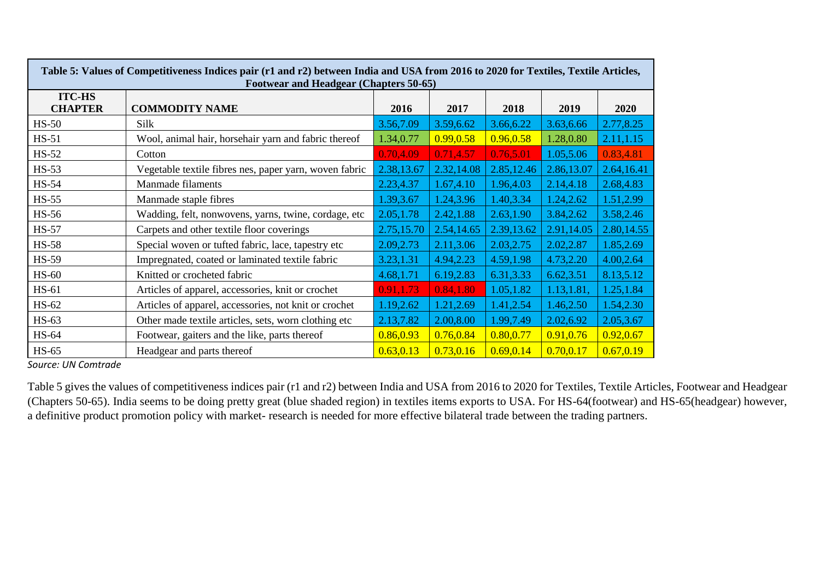| Table 5: Values of Competitiveness Indices pair (r1 and r2) between India and USA from 2016 to 2020 for Textiles, Textile Articles,<br><b>Footwear and Headgear (Chapters 50-65)</b> |                                                        |            |            |             |            |            |  |  |
|--------------------------------------------------------------------------------------------------------------------------------------------------------------------------------------|--------------------------------------------------------|------------|------------|-------------|------------|------------|--|--|
| <b>ITC-HS</b><br><b>CHAPTER</b>                                                                                                                                                      | <b>COMMODITY NAME</b>                                  | 2016       | 2017       | 2018        | 2019       | 2020       |  |  |
| $HS-50$                                                                                                                                                                              | Silk                                                   | 3.56,7.09  | 3.59,6.62  | 3.66,6.22   | 3.63,6.66  | 2.77,8.25  |  |  |
| $HS-51$                                                                                                                                                                              | Wool, animal hair, horsehair yarn and fabric thereof   | 1.34,0.77  | 0.99, 0.58 | 0.96, 0.58  | 1.28,0.80  | 2.11, 1.15 |  |  |
| $HS-52$                                                                                                                                                                              | Cotton                                                 | 0.70, 4.09 | 0.71,4.57  | 0.76,5.01   | 1.05,5.06  | 0.83,4.81  |  |  |
| $HS-53$                                                                                                                                                                              | Vegetable textile fibres nes, paper yarn, woven fabric | 2.38,13.67 | 2.32,14.08 | 2.85, 12.46 | 2.86,13.07 | 2.64,16.41 |  |  |
| $HS-54$                                                                                                                                                                              | Manmade filaments                                      | 2.23,4.37  | 1.67,4.10  | 1.96,4.03   | 2.14,4.18  | 2.68,4.83  |  |  |
| $HS-55$                                                                                                                                                                              | Manmade staple fibres                                  | 1.39,3.67  | 1.24,3.96  | 1.40,3.34   | 1.24,2.62  | 1.51,2.99  |  |  |
| $HS-56$                                                                                                                                                                              | Wadding, felt, nonwovens, yarns, twine, cordage, etc   | 2.05,1.78  | 2.42,1.88  | 2.63, 1.90  | 3.84, 2.62 | 3.58,2.46  |  |  |
| <b>HS-57</b>                                                                                                                                                                         | Carpets and other textile floor coverings              | 2.75,15.70 | 2.54,14.65 | 2.39,13.62  | 2.91,14.05 | 2.80,14.55 |  |  |
| $HS-58$                                                                                                                                                                              | Special woven or tufted fabric, lace, tapestry etc     | 2.09, 2.73 | 2.11,3.06  | 2.03, 2.75  | 2.02,2.87  | 1.85,2.69  |  |  |
| <b>HS-59</b>                                                                                                                                                                         | Impregnated, coated or laminated textile fabric        | 3.23,1.31  | 4.94,2.23  | 4.59,1.98   | 4.73,2.20  | 4.00,2.64  |  |  |
| $HS-60$                                                                                                                                                                              | Knitted or crocheted fabric                            | 4.68,1.71  | 6.19,2.83  | 6.31,3.33   | 6.62,3.51  | 8.13,5.12  |  |  |
| HS-61                                                                                                                                                                                | Articles of apparel, accessories, knit or crochet      | 0.91,1.73  | 0.84, 1.80 | 1.05,1.82   | 1.13,1.81  | 1.25, 1.84 |  |  |
| HS-62                                                                                                                                                                                | Articles of apparel, accessories, not knit or crochet  | 1.19,2.62  | 1.21,2.69  | 1.41,2.54   | 1.46,2.50  | 1.54,2.30  |  |  |
| $HS-63$                                                                                                                                                                              | Other made textile articles, sets, worn clothing etc   | 2.13,7.82  | 2.00,8.00  | 1.99,7.49   | 2.02,6.92  | 2.05,3.67  |  |  |
| HS-64                                                                                                                                                                                | Footwear, gaiters and the like, parts thereof          | 0.86,0.93  | 0.76, 0.84 | 0.80, 0.77  | 0.91,0.76  | 0.92, 0.67 |  |  |
| HS-65                                                                                                                                                                                | Headgear and parts thereof                             | 0.63, 0.13 | 0.73, 0.16 | 0.69, 0.14  | 0.70, 0.17 | 0.67, 0.19 |  |  |

Table 5 gives the values of competitiveness indices pair (r1 and r2) between India and USA from 2016 to 2020 for Textiles, Textile Articles, Footwear and Headgear (Chapters 50-65). India seems to be doing pretty great (blue shaded region) in textiles items exports to USA. For HS-64(footwear) and HS-65(headgear) however, a definitive product promotion policy with market- research is needed for more effective bilateral trade between the trading partners.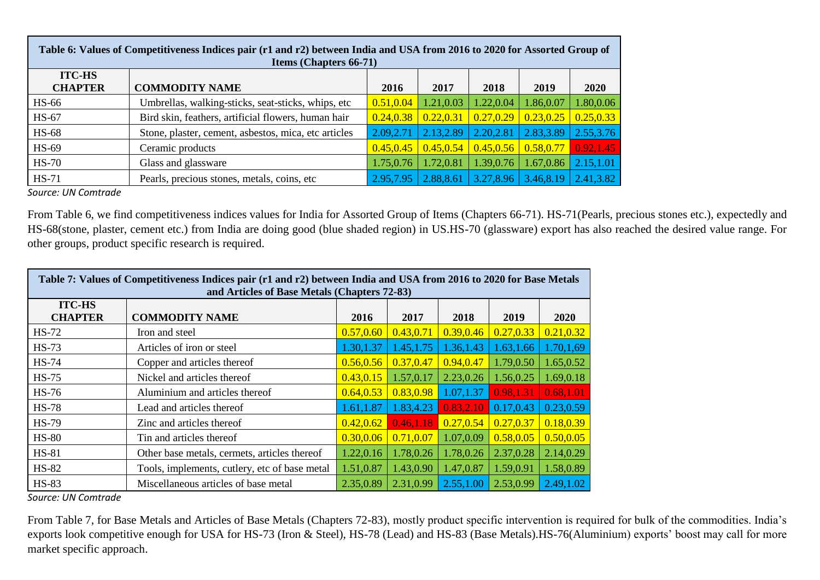| Table 6: Values of Competitiveness Indices pair (r1 and r2) between India and USA from 2016 to 2020 for Assorted Group of<br><b>Items (Chapters 66-71)</b> |                                                      |            |            |            |                         |             |  |  |
|------------------------------------------------------------------------------------------------------------------------------------------------------------|------------------------------------------------------|------------|------------|------------|-------------------------|-------------|--|--|
| <b>ITC-HS</b><br><b>CHAPTER</b>                                                                                                                            | <b>COMMODITY NAME</b>                                | 2016       | 2017       | 2018       | 2019                    | <b>2020</b> |  |  |
| <b>HS-66</b>                                                                                                                                               | Umbrellas, walking-sticks, seat-sticks, whips, etc   | 0.51, 0.04 | 1.21,0.03  | 1.22,0.04  | 1.86,0.07               | 1.80,0.06   |  |  |
| <b>HS-67</b>                                                                                                                                               | Bird skin, feathers, artificial flowers, human hair  | 0.24, 0.38 | 0.22, 0.31 | 0.27, 0.29 | 0.23, 0.25              | 0.25, 0.33  |  |  |
| $HS-68$                                                                                                                                                    | Stone, plaster, cement, asbestos, mica, etc articles | 2.09, 2.71 | 2.13,2.89  | 2.20,2.81  | 2.83,3.89               | 2.55,3.76   |  |  |
| HS-69                                                                                                                                                      | Ceramic products                                     | 0.45, 0.45 | 0.45, 0.54 |            | $0.45, 0.56$ 0.58, 0.77 | 0.92, 1.45  |  |  |
| $HS-70$                                                                                                                                                    | Glass and glassware                                  | 1.75,0.76  | 1.72,0.81  | 1.39,0.76  | 1.67,0.86               | 2.15,1.01   |  |  |
| $HS-71$                                                                                                                                                    | Pearls, precious stones, metals, coins, etc.         | 2.95,7.95  | 2.88,8.61  | 3.27, 8.96 | 3.46,8.19               | 2.41,3.82   |  |  |

From Table 6, we find competitiveness indices values for India for Assorted Group of Items (Chapters 66-71). HS-71(Pearls, precious stones etc.), expectedly and HS-68(stone, plaster, cement etc.) from India are doing good (blue shaded region) in US.HS-70 (glassware) export has also reached the desired value range. For other groups, product specific research is required.

| Table 7: Values of Competitiveness Indices pair (r1 and r2) between India and USA from 2016 to 2020 for Base Metals<br>and Articles of Base Metals (Chapters 72-83) |                                               |            |            |            |            |             |  |  |
|---------------------------------------------------------------------------------------------------------------------------------------------------------------------|-----------------------------------------------|------------|------------|------------|------------|-------------|--|--|
| <b>ITC-HS</b><br><b>CHAPTER</b>                                                                                                                                     | <b>COMMODITY NAME</b>                         | 2016       | 2017       | 2018       | 2019       | <b>2020</b> |  |  |
| <b>HS-72</b>                                                                                                                                                        | Iron and steel                                | 0.57, 0.60 | 0.43, 0.71 | 0.39, 0.46 | 0.27, 0.33 | 0.21, 0.32  |  |  |
| <b>HS-73</b>                                                                                                                                                        | Articles of iron or steel                     | 1.30, 1.37 | 1.45, 1.75 | 1.36, 1.43 | 1.63,1.66  | 1.70,1,69   |  |  |
| <b>HS-74</b>                                                                                                                                                        | Copper and articles thereof                   | 0.56, 0.56 | 0.37, 0.47 | 0.94, 0.47 | 1.79,0.50  | 1.65,0.52   |  |  |
| $HS-75$                                                                                                                                                             | Nickel and articles thereof                   | 0.43, 0.15 | 1.57,0.17  | 2.23,0.26  | 1.56,0.25  | 1.69,0.18   |  |  |
| $HS-76$                                                                                                                                                             | Aluminium and articles thereof                | 0.64, 0.53 | 0.83,0.98  | 1.07,1.37  | 0.98,1.31  | 0.68,1.01   |  |  |
| <b>HS-78</b>                                                                                                                                                        | Lead and articles thereof                     | 1.61, 1.87 | 1.83,4.23  | 0.83, 2.10 | 0.17,0.43  | 0.23,0.59   |  |  |
| <b>HS-79</b>                                                                                                                                                        | Zinc and articles thereof                     | 0.42, 0.62 | 0.46,1.18  | 0.27, 0.54 | 0.27, 0.37 | 0.18,0.39   |  |  |
| <b>HS-80</b>                                                                                                                                                        | Tin and articles thereof                      | 0.30, 0.06 | 0.71, 0.07 | 1.07,0.09  | 0.58, 0.05 | 0.50, 0.05  |  |  |
| <b>HS-81</b>                                                                                                                                                        | Other base metals, cermets, articles thereof  | 1.22,0.16  | 1.78,0.26  | 1.78,0.26  | 2.37,0.28  | 2.14,0.29   |  |  |
| <b>HS-82</b>                                                                                                                                                        | Tools, implements, cutlery, etc of base metal | 1.51,0.87  | 1.43,0.90  | 1.47,0.87  | 1.59,0.91  | 1.58,0.89   |  |  |
| <b>HS-83</b>                                                                                                                                                        | Miscellaneous articles of base metal          | 2.35,0.89  | 2.31,0.99  | 2.55,1.00  | 2.53,0.99  | 2.49, 1.02  |  |  |

*Source: UN Comtrade*

From Table 7, for Base Metals and Articles of Base Metals (Chapters 72-83), mostly product specific intervention is required for bulk of the commodities. India's exports look competitive enough for USA for HS-73 (Iron & Steel), HS-78 (Lead) and HS-83 (Base Metals).HS-76(Aluminium) exports' boost may call for more market specific approach.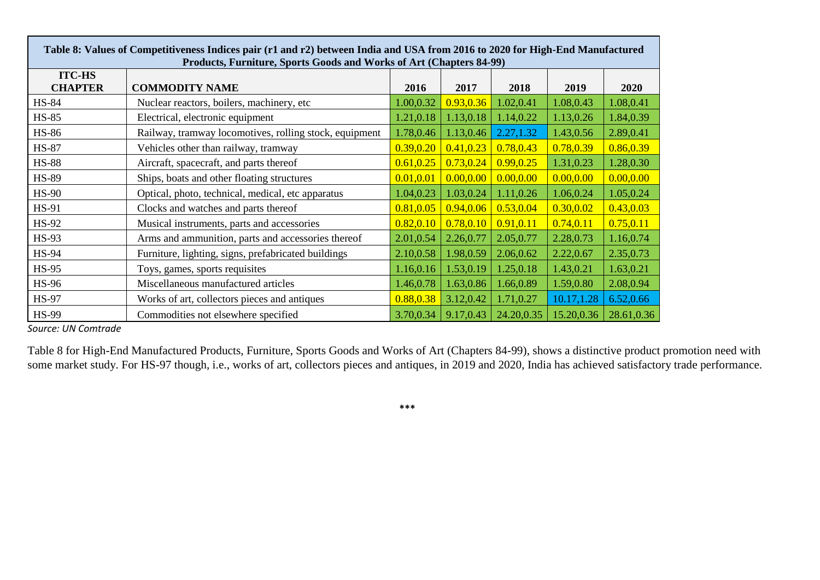| Table 8: Values of Competitiveness Indices pair (r1 and r2) between India and USA from 2016 to 2020 for High-End Manufactured<br>Products, Furniture, Sports Goods and Works of Art (Chapters 84-99) |                                                        |            |            |            |            |            |  |
|------------------------------------------------------------------------------------------------------------------------------------------------------------------------------------------------------|--------------------------------------------------------|------------|------------|------------|------------|------------|--|
| <b>ITC-HS</b><br><b>CHAPTER</b>                                                                                                                                                                      | <b>COMMODITY NAME</b>                                  | 2016       | 2017       | 2018       | 2019       | 2020       |  |
| <b>HS-84</b>                                                                                                                                                                                         | Nuclear reactors, boilers, machinery, etc.             | 1.00,0.32  | 0.93, 0.36 | 1.02,0.41  | 1.08,0.43  | 1.08,0.41  |  |
| <b>HS-85</b>                                                                                                                                                                                         | Electrical, electronic equipment                       | 1.21,0.18  | 1.13,0.18  | 1.14,0.22  | 1.13,0.26  | 1.84,0.39  |  |
| <b>HS-86</b>                                                                                                                                                                                         | Railway, tramway locomotives, rolling stock, equipment | 1.78,0.46  | 1.13,0.46  | 2.27, 1.32 | 1.43,0.56  | 2.89,0.41  |  |
| <b>HS-87</b>                                                                                                                                                                                         | Vehicles other than railway, tramway                   | 0.39, 0.20 | 0.41, 0.23 | 0.78,0.43  | 0.78,0.39  | 0.86, 0.39 |  |
| <b>HS-88</b>                                                                                                                                                                                         | Aircraft, spacecraft, and parts thereof                | 0.61, 0.25 | 0.73, 0.24 | 0.99, 0.25 | 1.31,0.23  | 1.28,0.30  |  |
| <b>HS-89</b>                                                                                                                                                                                         | Ships, boats and other floating structures             | 0.01, 0.01 | 0.00, 0.00 | 0.00, 0.00 | 0.00, 0.00 | 0.00, 0.00 |  |
| <b>HS-90</b>                                                                                                                                                                                         | Optical, photo, technical, medical, etc apparatus      | 1.04,0.23  | 1.03,0.24  | 1.11,0.26  | 1.06,0.24  | 1.05,0.24  |  |
| HS-91                                                                                                                                                                                                | Clocks and watches and parts thereof                   | 0.81, 0.05 | 0.94, 0.06 | 0.53, 0.04 | 0.30, 0.02 | 0.43, 0.03 |  |
| HS-92                                                                                                                                                                                                | Musical instruments, parts and accessories             | 0.82, 0.10 | 0.78, 0.10 | 0.91, 0.11 | 0.74, 0.11 | 0.75, 0.11 |  |
| <b>HS-93</b>                                                                                                                                                                                         | Arms and ammunition, parts and accessories thereof     | 2.01,0.54  | 2.26,0.77  | 2.05,0.77  | 2.28,0.73  | 1.16,0.74  |  |
| <b>HS-94</b>                                                                                                                                                                                         | Furniture, lighting, signs, prefabricated buildings    | 2.10,0.58  | 1.98,0.59  | 2.06,0.62  | 2.22,0.67  | 2.35,0.73  |  |
| <b>HS-95</b>                                                                                                                                                                                         | Toys, games, sports requisites                         | 1.16,0.16  | 1.53,0.19  | 1.25,0.18  | 1.43,0.21  | 1.63,0.21  |  |
| <b>HS-96</b>                                                                                                                                                                                         | Miscellaneous manufactured articles                    | 1.46,0.78  | 1.63,0.86  | 1.66,0.89  | 1.59,0.80  | 2.08,0.94  |  |
| <b>HS-97</b>                                                                                                                                                                                         | Works of art, collectors pieces and antiques           | 0.88,0.38  | 3.12,0.42  | 1.71,0.27  | 10.17,1.28 | 6.52,0.66  |  |
| <b>HS-99</b>                                                                                                                                                                                         | Commodities not elsewhere specified                    | 3.70,0.34  | 9.17,0.43  | 24.20,0.35 | 15.20,0.36 | 28.61,0.36 |  |

Table 8 for High-End Manufactured Products, Furniture, Sports Goods and Works of Art (Chapters 84-99), shows a distinctive product promotion need with some market study. For HS-97 though, i.e., works of art, collectors pieces and antiques, in 2019 and 2020, India has achieved satisfactory trade performance.

**\*\*\***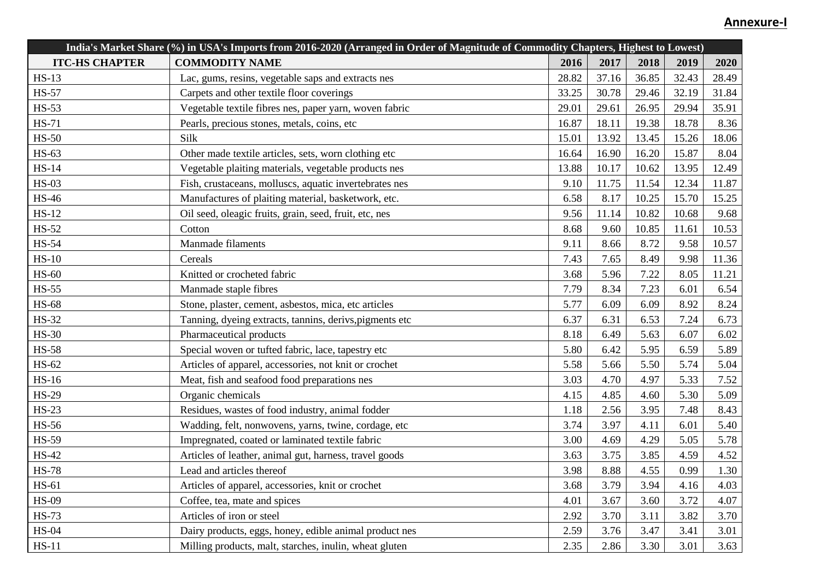| India's Market Share (%) in USA's Imports from 2016-2020 (Arranged in Order of Magnitude of Commodity Chapters, Highest to Lowest) |                                                         |       |       |       |       |       |
|------------------------------------------------------------------------------------------------------------------------------------|---------------------------------------------------------|-------|-------|-------|-------|-------|
| <b>ITC-HS CHAPTER</b>                                                                                                              | <b>COMMODITY NAME</b>                                   | 2016  | 2017  | 2018  | 2019  | 2020  |
| $HS-13$                                                                                                                            | Lac, gums, resins, vegetable saps and extracts nes      | 28.82 | 37.16 | 36.85 | 32.43 | 28.49 |
| <b>HS-57</b>                                                                                                                       | Carpets and other textile floor coverings               | 33.25 | 30.78 | 29.46 | 32.19 | 31.84 |
| $HS-53$                                                                                                                            | Vegetable textile fibres nes, paper yarn, woven fabric  | 29.01 | 29.61 | 26.95 | 29.94 | 35.91 |
| $HS-71$                                                                                                                            | Pearls, precious stones, metals, coins, etc             | 16.87 | 18.11 | 19.38 | 18.78 | 8.36  |
| $HS-50$                                                                                                                            | Silk                                                    | 15.01 | 13.92 | 13.45 | 15.26 | 18.06 |
| HS-63                                                                                                                              | Other made textile articles, sets, worn clothing etc    | 16.64 | 16.90 | 16.20 | 15.87 | 8.04  |
| $HS-14$                                                                                                                            | Vegetable plaiting materials, vegetable products nes    | 13.88 | 10.17 | 10.62 | 13.95 | 12.49 |
| $HS-03$                                                                                                                            | Fish, crustaceans, molluscs, aquatic invertebrates nes  | 9.10  | 11.75 | 11.54 | 12.34 | 11.87 |
| <b>HS-46</b>                                                                                                                       | Manufactures of plaiting material, basketwork, etc.     | 6.58  | 8.17  | 10.25 | 15.70 | 15.25 |
| $HS-12$                                                                                                                            | Oil seed, oleagic fruits, grain, seed, fruit, etc, nes  | 9.56  | 11.14 | 10.82 | 10.68 | 9.68  |
| <b>HS-52</b>                                                                                                                       | Cotton                                                  | 8.68  | 9.60  | 10.85 | 11.61 | 10.53 |
| <b>HS-54</b>                                                                                                                       | Manmade filaments                                       | 9.11  | 8.66  | 8.72  | 9.58  | 10.57 |
| $HS-10$                                                                                                                            | Cereals                                                 | 7.43  | 7.65  | 8.49  | 9.98  | 11.36 |
| <b>HS-60</b>                                                                                                                       | Knitted or crocheted fabric                             | 3.68  | 5.96  | 7.22  | 8.05  | 11.21 |
| $HS-55$                                                                                                                            | Manmade staple fibres                                   | 7.79  | 8.34  | 7.23  | 6.01  | 6.54  |
| <b>HS-68</b>                                                                                                                       | Stone, plaster, cement, asbestos, mica, etc articles    | 5.77  | 6.09  | 6.09  | 8.92  | 8.24  |
| <b>HS-32</b>                                                                                                                       | Tanning, dyeing extracts, tannins, derivs, pigments etc | 6.37  | 6.31  | 6.53  | 7.24  | 6.73  |
| <b>HS-30</b>                                                                                                                       | Pharmaceutical products                                 | 8.18  | 6.49  | 5.63  | 6.07  | 6.02  |
| <b>HS-58</b>                                                                                                                       | Special woven or tufted fabric, lace, tapestry etc      | 5.80  | 6.42  | 5.95  | 6.59  | 5.89  |
| HS-62                                                                                                                              | Articles of apparel, accessories, not knit or crochet   | 5.58  | 5.66  | 5.50  | 5.74  | 5.04  |
| <b>HS-16</b>                                                                                                                       | Meat, fish and seafood food preparations nes            | 3.03  | 4.70  | 4.97  | 5.33  | 7.52  |
| <b>HS-29</b>                                                                                                                       | Organic chemicals                                       | 4.15  | 4.85  | 4.60  | 5.30  | 5.09  |
| $HS-23$                                                                                                                            | Residues, wastes of food industry, animal fodder        | 1.18  | 2.56  | 3.95  | 7.48  | 8.43  |
| <b>HS-56</b>                                                                                                                       | Wadding, felt, nonwovens, yarns, twine, cordage, etc    | 3.74  | 3.97  | 4.11  | 6.01  | 5.40  |
| <b>HS-59</b>                                                                                                                       | Impregnated, coated or laminated textile fabric         | 3.00  | 4.69  | 4.29  | 5.05  | 5.78  |
| <b>HS-42</b>                                                                                                                       | Articles of leather, animal gut, harness, travel goods  | 3.63  | 3.75  | 3.85  | 4.59  | 4.52  |
| <b>HS-78</b>                                                                                                                       | Lead and articles thereof                               | 3.98  | 8.88  | 4.55  | 0.99  | 1.30  |
| HS-61                                                                                                                              | Articles of apparel, accessories, knit or crochet       | 3.68  | 3.79  | 3.94  | 4.16  | 4.03  |
| <b>HS-09</b>                                                                                                                       | Coffee, tea, mate and spices                            | 4.01  | 3.67  | 3.60  | 3.72  | 4.07  |
| <b>HS-73</b>                                                                                                                       | Articles of iron or steel                               | 2.92  | 3.70  | 3.11  | 3.82  | 3.70  |
| $HS-04$                                                                                                                            | Dairy products, eggs, honey, edible animal product nes  | 2.59  | 3.76  | 3.47  | 3.41  | 3.01  |
| $HS-11$                                                                                                                            | Milling products, malt, starches, inulin, wheat gluten  | 2.35  | 2.86  | 3.30  | 3.01  | 3.63  |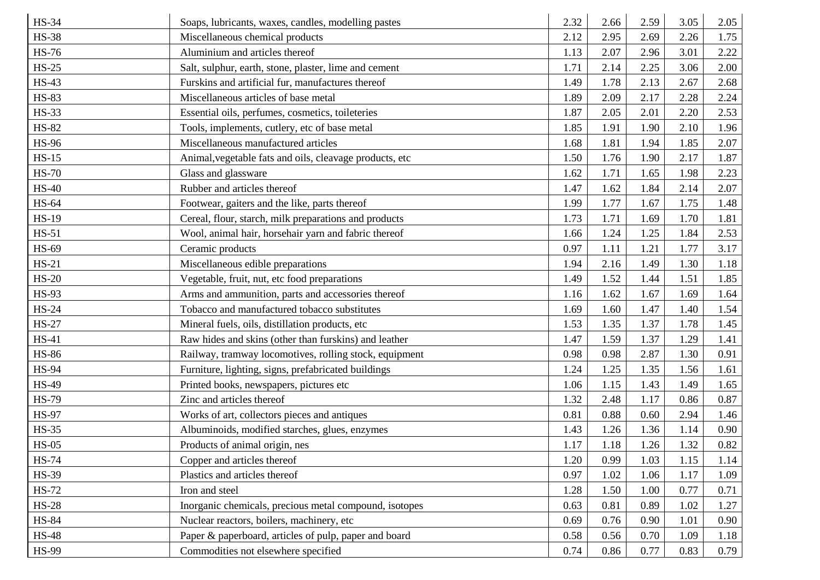| <b>HS-34</b>                 | Soaps, lubricants, waxes, candles, modelling pastes     | 2.32 | 2.66 | 2.59 | 3.05 | 2.05 |
|------------------------------|---------------------------------------------------------|------|------|------|------|------|
| <b>HS-38</b>                 | Miscellaneous chemical products                         | 2.12 | 2.95 | 2.69 | 2.26 | 1.75 |
| <b>HS-76</b>                 | Aluminium and articles thereof                          | 1.13 | 2.07 | 2.96 | 3.01 | 2.22 |
| $HS-25$                      | Salt, sulphur, earth, stone, plaster, lime and cement   | 1.71 | 2.14 | 2.25 | 3.06 | 2.00 |
| <b>HS-43</b>                 | Furskins and artificial fur, manufactures thereof       | 1.49 | 1.78 | 2.13 | 2.67 | 2.68 |
| <b>HS-83</b>                 | Miscellaneous articles of base metal                    | 1.89 | 2.09 | 2.17 | 2.28 | 2.24 |
|                              |                                                         | 1.87 | 2.05 | 2.01 | 2.20 | 2.53 |
| <b>HS-33</b><br><b>HS-82</b> | Essential oils, perfumes, cosmetics, toileteries        |      | 1.91 | 1.90 |      | 1.96 |
|                              | Tools, implements, cutlery, etc of base metal           | 1.85 |      |      | 2.10 |      |
| <b>HS-96</b>                 | Miscellaneous manufactured articles                     | 1.68 | 1.81 | 1.94 | 1.85 | 2.07 |
| $HS-15$                      | Animal, vegetable fats and oils, cleavage products, etc | 1.50 | 1.76 | 1.90 | 2.17 | 1.87 |
| <b>HS-70</b>                 | Glass and glassware                                     | 1.62 | 1.71 | 1.65 | 1.98 | 2.23 |
| <b>HS-40</b>                 | Rubber and articles thereof                             | 1.47 | 1.62 | 1.84 | 2.14 | 2.07 |
| <b>HS-64</b>                 | Footwear, gaiters and the like, parts thereof           | 1.99 | 1.77 | 1.67 | 1.75 | 1.48 |
| <b>HS-19</b>                 | Cereal, flour, starch, milk preparations and products   | 1.73 | 1.71 | 1.69 | 1.70 | 1.81 |
| $HS-51$                      | Wool, animal hair, horsehair yarn and fabric thereof    | 1.66 | 1.24 | 1.25 | 1.84 | 2.53 |
| <b>HS-69</b>                 | Ceramic products                                        | 0.97 | 1.11 | 1.21 | 1.77 | 3.17 |
| $HS-21$                      | Miscellaneous edible preparations                       | 1.94 | 2.16 | 1.49 | 1.30 | 1.18 |
| $HS-20$                      | Vegetable, fruit, nut, etc food preparations            | 1.49 | 1.52 | 1.44 | 1.51 | 1.85 |
| <b>HS-93</b>                 | Arms and ammunition, parts and accessories thereof      | 1.16 | 1.62 | 1.67 | 1.69 | 1.64 |
| $HS-24$                      | Tobacco and manufactured tobacco substitutes            | 1.69 | 1.60 | 1.47 | 1.40 | 1.54 |
| <b>HS-27</b>                 | Mineral fuels, oils, distillation products, etc         | 1.53 | 1.35 | 1.37 | 1.78 | 1.45 |
| <b>HS-41</b>                 | Raw hides and skins (other than furskins) and leather   | 1.47 | 1.59 | 1.37 | 1.29 | 1.41 |
| <b>HS-86</b>                 | Railway, tramway locomotives, rolling stock, equipment  | 0.98 | 0.98 | 2.87 | 1.30 | 0.91 |
| <b>HS-94</b>                 | Furniture, lighting, signs, prefabricated buildings     | 1.24 | 1.25 | 1.35 | 1.56 | 1.61 |
| <b>HS-49</b>                 | Printed books, newspapers, pictures etc                 | 1.06 | 1.15 | 1.43 | 1.49 | 1.65 |
| <b>HS-79</b>                 | Zinc and articles thereof                               | 1.32 | 2.48 | 1.17 | 0.86 | 0.87 |
| <b>HS-97</b>                 | Works of art, collectors pieces and antiques            | 0.81 | 0.88 | 0.60 | 2.94 | 1.46 |
| <b>HS-35</b>                 | Albuminoids, modified starches, glues, enzymes          | 1.43 | 1.26 | 1.36 | 1.14 | 0.90 |
| $HS-05$                      | Products of animal origin, nes                          | 1.17 | 1.18 | 1.26 | 1.32 | 0.82 |
| <b>HS-74</b>                 | Copper and articles thereof                             | 1.20 | 0.99 | 1.03 | 1.15 | 1.14 |
| <b>HS-39</b>                 | Plastics and articles thereof                           | 0.97 | 1.02 | 1.06 | 1.17 | 1.09 |
| <b>HS-72</b>                 | Iron and steel                                          | 1.28 | 1.50 | 1.00 | 0.77 | 0.71 |
| <b>HS-28</b>                 | Inorganic chemicals, precious metal compound, isotopes  | 0.63 | 0.81 | 0.89 | 1.02 | 1.27 |
| <b>HS-84</b>                 | Nuclear reactors, boilers, machinery, etc               | 0.69 | 0.76 | 0.90 | 1.01 | 0.90 |
| <b>HS-48</b>                 | Paper & paperboard, articles of pulp, paper and board   | 0.58 | 0.56 | 0.70 | 1.09 | 1.18 |
| <b>HS-99</b>                 | Commodities not elsewhere specified                     | 0.74 | 0.86 | 0.77 | 0.83 | 0.79 |